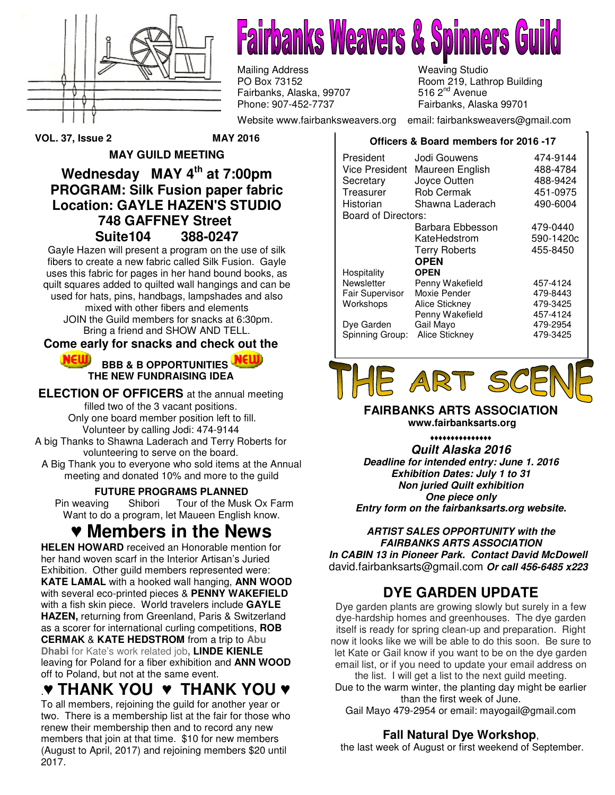

**Fairbanks Weavers & Spinners** 

Mailing Address Meaving Studio<br>
PO Box 73152 Meaving Studio Fairbanks, Alaska, 99707 Phone: 907-452-7737 Fairbanks, Alaska 99701

Room 219, Lathrop Building 516  $2<sup>nd</sup>$  Avenue

Website www.fairbanksweavers.org email: fairbanksweavers@gmail.com

**Officers & Board members for 2016 -17**

President Jodi Gouwens 474-9144 Vice President Maureen English 488-4784 Secretary Joyce Outten 488-9424 Treasurer Rob Cermak 451-0975 Historian Shawna Laderach 490-6004 Board of Directors: Barbara Ebbesson 479-0440 KateHedstrom 590-1420c Terry Roberts 455-8450  **OPEN Hospitality**<br>Newsletter Penny Wakefield 457-4124 Fair Supervisor Moxie Pender 479-8443 Workshops Alice Stickney 479-3425 Penny Wakefield 457-4124<br>Gail Mayo 479-2954 Dye Garden Gail Mayo (479-2954)<br>Spinning Group: Alice Stickney (479-3425) Spinning Group: Alice Stickney

# E ART S

**FAIRBANKS ARTS ASSOCIATION www.fairbanksarts.org** 

♦♦♦♦♦♦♦♦♦♦♦♦♦♦♦ **Quilt Alaska 2016 Deadline for intended entry: June 1. 2016 Exhibition Dates: July 1 to 31 Non juried Quilt exhibition One piece only Entry form on the fairbanksarts.org website.** 

#### **ARTIST SALES OPPORTUNITY with the FAIRBANKS ARTS ASSOCIATION In CABIN 13 in Pioneer Park. Contact David McDowell**  david.fairbanksarts@gmail.com **Or call 456-6485 x223**

### **DYE GARDEN UPDATE**

Dye garden plants are growing slowly but surely in a few dye-hardship homes and greenhouses. The dye garden itself is ready for spring clean-up and preparation. Right now it looks like we will be able to do this soon. Be sure to let Kate or Gail know if you want to be on the dye garden email list, or if you need to update your email address on the list. I will get a list to the next guild meeting.

Due to the warm winter, the planting day might be earlier than the first week of June.

Gail Mayo 479-2954 or email: mayogail@gmail.com

### **Fall Natural Dye Workshop**,

the last week of August or first weekend of September.

**VOL. 37, Issue 2 MAY 2016** 

### **MAY GUILD MEETING Wednesday MAY 4th at 7:00pm PROGRAM: Silk Fusion paper fabric Location: GAYLE HAZEN'S STUDIO 748 GAFFNEY Street Suite104 388-0247**

Gayle Hazen will present a program on the use of silk fibers to create a new fabric called Silk Fusion. Gayle uses this fabric for pages in her hand bound books, as quilt squares added to quilted wall hangings and can be used for hats, pins, handbags, lampshades and also mixed with other fibers and elements JOIN the Guild members for snacks at 6:30pm. Bring a friend and SHOW AND TELL.

### **Come early for snacks and check out the**

#### **NEW BBB & B OPPORTUNITIES THE NEW FUNDRAISING IDEA**

**ELECTION OF OFFICERS** at the annual meeting filled two of the 3 vacant positions. Only one board member position left to fill.

Volunteer by calling Jodi: 474-9144 A big Thanks to Shawna Laderach and Terry Roberts for

volunteering to serve on the board.

A Big Thank you to everyone who sold items at the Annual meeting and donated 10% and more to the guild

#### **FUTURE PROGRAMS PLANNED**

 Pin weaving Shibori Tour of the Musk Ox Farm Want to do a program, let Maueen English know.

# ♥ **Members in the News**

**HELEN HOWARD** received an Honorable mention for her hand woven scarf in the Interior Artisan's Juried Exhibition. Other guild members represented were: **KATE LAMAL** with a hooked wall hanging, **ANN WOOD** with several eco-printed pieces & **PENNY WAKEFIELD** with a fish skin piece. World travelers include **GAYLE HAZEN,** returning from Greenland, Paris & Switzerland as a scorer for international curling competitions, **ROB CERMAK** & **KATE HEDSTROM** from a trip to **Abu Dhabi** for Kate's work related job**, LINDE KIENLE** leaving for Poland for a fiber exhibition and **ANN WOOD** off to Poland, but not at the same event.

# .♥ **THANK YOU** ♥ **THANK YOU** ♥

To all members, rejoining the guild for another year or two. There is a membership list at the fair for those who renew their membership then and to record any new members that join at that time. \$10 for new members (August to April, 2017) and rejoining members \$20 until 2017.